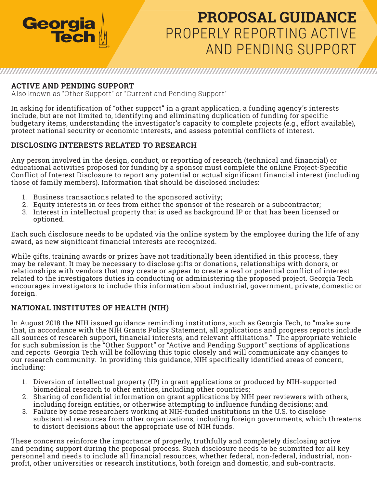

# **PROPOSAL GUIDANCE** PROPERLY REPORTING ACTIVE AND PENDING SUPPORT

#### **ACTIVE AND PENDING SUPPORT**

Also known as "Other Support" or "Current and Pending Support"

In asking for identification of "other support" in a grant application, a funding agency's interests include, but are not limited to, identifying and eliminating duplication of funding for specific budgetary items, understanding the investigator's capacity to complete projects (e.g., effort available), protect national security or economic interests, and assess potential conflicts of interest.

#### **DISCLOSING INTERESTS RELATED TO RESEARCH**

Any person involved in the design, conduct, or reporting of research (technical and financial) or educational activities proposed for funding by a sponsor must complete the online Project-Specific Conflict of Interest Disclosure to report any potential or actual significant financial interest (including those of family members). Information that should be disclosed includes:

- 1. Business transactions related to the sponsored activity;
- 2. Equity interests in or fees from either the sponsor of the research or a subcontractor;
- 3. Interest in intellectual property that is used as background IP or that has been licensed or optioned.

Each such disclosure needs to be updated via the online system by the employee during the life of any award, as new significant financial interests are recognized.

While gifts, training awards or prizes have not traditionally been identified in this process, they may be relevant. It may be necessary to disclose gifts or donations, relationships with donors, or relationships with vendors that may create or appear to create a real or potential conflict of interest related to the investigators duties in conducting or administering the proposed project. Georgia Tech encourages investigators to include this information about industrial, government, private, domestic or foreign.

#### **NATIONAL INSTITUTES OF HEALTH (NIH)**

In August 2018 the NIH issued guidance reminding institutions, such as Georgia Tech, to "make sure that, in accordance with the NIH Grants Policy Statement, all applications and progress reports include all sources of research support, financial interests, and relevant affiliations." The appropriate vehicle for such submission is the "Other Support" or "Active and Pending Support" sections of applications and reports. Georgia Tech will be following this topic closely and will communicate any changes to our research community. In providing this guidance, NIH specifically identified areas of concern, including:

- 1. Diversion of intellectual property (IP) in grant applications or produced by NIH-supported biomedical research to other entities, including other countries;
- 2. Sharing of confidential information on grant applications by NIH peer reviewers with others, including foreign entities, or otherwise attempting to influence funding decisions; and
- 3. Failure by some researchers working at NIH-funded institutions in the U.S. to disclose substantial resources from other organizations, including foreign governments, which threatens to distort decisions about the appropriate use of NIH funds.

These concerns reinforce the importance of properly, truthfully and completely disclosing active and pending support during the proposal process. Such disclosure needs to be submitted for all key personnel and needs to include all financial resources, whether federal, non-federal, industrial, nonprofit, other universities or research institutions, both foreign and domestic, and sub-contracts.